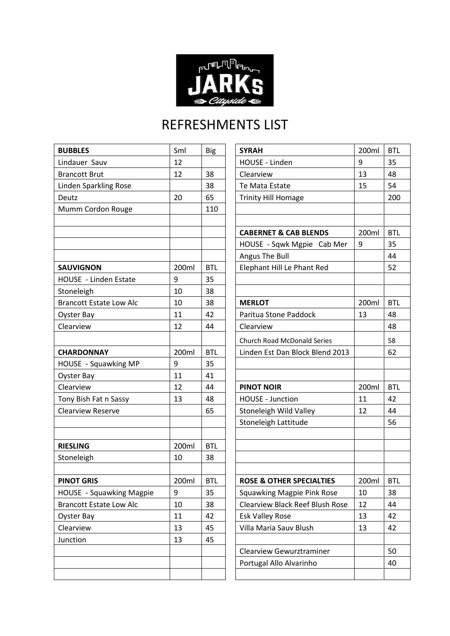

## REFRESHMENTS LIST

| <b>BUBBLES</b>                 | Sml   | <b>Big</b> | <b>SYRAH</b>                           | 200ml | <b>BTL</b> |
|--------------------------------|-------|------------|----------------------------------------|-------|------------|
| Lindauer Sauv                  | 12    |            | HOUSE - Linden                         | 9     | 35         |
| <b>Brancott Brut</b>           | 12    | 38         | Clearview                              | 13    | 48         |
| <b>Linden Sparkling Rose</b>   |       | 38         | Te Mata Estate                         | 15    | 54         |
| Deutz                          | 20    | 65         | <b>Trinity Hill Homage</b>             |       | 200        |
| Mumm Cordon Rouge              |       | 110        |                                        |       |            |
|                                |       |            |                                        |       |            |
|                                |       |            | <b>CABERNET &amp; CAB BLENDS</b>       | 200ml | <b>BTL</b> |
|                                |       |            | HOUSE - Sqwk Mgpie Cab Mer             | 9     | 35         |
|                                |       |            | Angus The Bull                         |       | 44         |
| <b>SAUVIGNON</b>               | 200ml | <b>BTL</b> | Elephant Hill Le Phant Red             |       | 52         |
| HOUSE - Linden Estate          | 9     | 35         |                                        |       |            |
| Stoneleigh                     | 10    | 38         |                                        |       |            |
| <b>Brancott Estate Low Alc</b> | 10    | 38         | <b>MERLOT</b>                          | 200ml | <b>BTL</b> |
| <b>Oyster Bay</b>              | 11    | 42         | Paritua Stone Paddock                  | 13    | 48         |
| Clearview                      | 12    | 44         | Clearview                              |       | 48         |
|                                |       |            | <b>Church Road McDonald Series</b>     |       | 58         |
| <b>CHARDONNAY</b>              | 200ml | <b>BTL</b> | Linden Est Dan Block Blend 2013        |       | 62         |
| HOUSE - Squawking MP           | 9     | 35         |                                        |       |            |
| Oyster Bay                     | 11    | 41         |                                        |       |            |
| Clearview                      | 12    | 44         | <b>PINOT NOIR</b>                      | 200ml | <b>BTL</b> |
| Tony Bish Fat n Sassy          | 13    | 48         | <b>HOUSE - Junction</b>                | 11    | 42         |
| <b>Clearview Reserve</b>       |       | 65         | Stoneleigh Wild Valley                 | 12    | 44         |
|                                |       |            | Stoneleigh Lattitude                   |       | 56         |
|                                |       |            |                                        |       |            |
| <b>RIESLING</b>                | 200ml | <b>BTL</b> |                                        |       |            |
| Stoneleigh                     | 10    | 38         |                                        |       |            |
|                                |       |            |                                        |       |            |
| <b>PINOT GRIS</b>              | 200ml | <b>BTL</b> | <b>ROSE &amp; OTHER SPECIALTIES</b>    | 200ml | <b>BTL</b> |
| HOUSE - Squawking Magpie       | 9     | 35         | Squawking Magpie Pink Rose             | 10    | 38         |
| <b>Brancott Estate Low Alc</b> | 10    | 38         | <b>Clearview Black Reef Blush Rose</b> | 12    | 44         |
| Oyster Bay                     | 11    | 42         | <b>Esk Valley Rose</b>                 | 13    | 42         |
| Clearview                      | 13    | 45         | Villa Maria Sauv Blush                 | 13    | 42         |
| Junction                       | 13    | 45         |                                        |       |            |
|                                |       |            | <b>Clearview Gewurztraminer</b>        |       | 50         |
|                                |       |            | Portugal Allo Alvarinho                |       | 40         |
|                                |       |            |                                        |       |            |

| <b>SYRAH</b>                           | 200ml | <b>BTL</b> |
|----------------------------------------|-------|------------|
| HOUSE - Linden                         | 9     | 35         |
| Clearview                              | 13    | 48         |
| Te Mata Estate                         | 15    | 54         |
| <b>Trinity Hill Homage</b>             |       | 200        |
|                                        |       |            |
|                                        |       |            |
| <b>CABERNET &amp; CAB BLENDS</b>       | 200ml | <b>BTL</b> |
| HOUSE - Sqwk Mgpie Cab Mer             | 9     | 35         |
| Angus The Bull                         |       | 44         |
| Elephant Hill Le Phant Red             |       | 52         |
|                                        |       |            |
|                                        |       |            |
| <b>MERLOT</b>                          | 200ml | BTL        |
| Paritua Stone Paddock                  | 13    | 48         |
| Clearview                              |       | 48         |
| <b>Church Road McDonald Series</b>     |       | 58         |
| Linden Est Dan Block Blend 2013        |       | 62         |
|                                        |       |            |
|                                        |       |            |
| <b>PINOT NOIR</b>                      | 200ml | <b>BTL</b> |
| HOUSE - Junction                       | 11    | 42         |
| Stoneleigh Wild Valley                 | 12    | 44         |
| Stoneleigh Lattitude                   |       | 56         |
|                                        |       |            |
|                                        |       |            |
|                                        |       |            |
|                                        |       |            |
| ROSE & OTHER SPECIALTIES               | 200ml | <b>BTL</b> |
| <b>Squawking Magpie Pink Rose</b>      | 10    | 38         |
| <b>Clearview Black Reef Blush Rose</b> | 12    | 44         |
| <b>Esk Valley Rose</b>                 | 13    | 42         |
| Villa Maria Sauv Blush                 | 13    | 42         |
|                                        |       |            |
| Clearview Gewurztraminer               |       | 50         |
| Portugal Allo Alvarinho                |       | 40         |
|                                        |       |            |